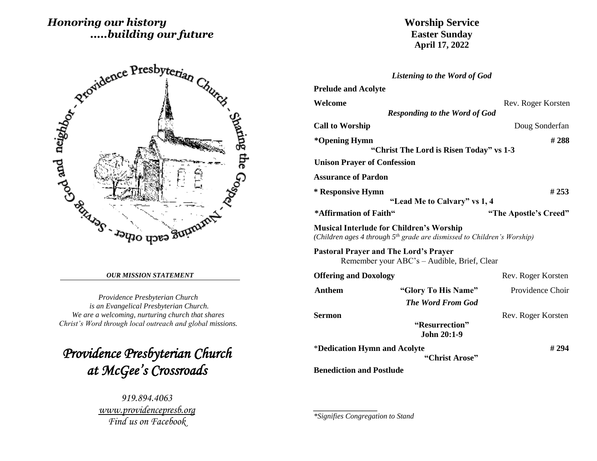# *Honoring our history .....building our future*



#### *OUR MISSION STATEMENT*

*Providence Presbyterian Church is an Evangelical Presbyterian Church. We are a welcoming, nurturing church that shares Christ's Word through local outreach and global missions.*

*Providence Presbyterian Church at McGee's Crossroads* 

> *919.894.4063 [www.providencepresb.org](http://www.providencepresb.org/) Find us on Facebook*

## **Worship Service Easter Sunday April 17, 2022**

|                                                 | <b>Listening to the Word of God</b>                                                 |                       |
|-------------------------------------------------|-------------------------------------------------------------------------------------|-----------------------|
| <b>Prelude and Acolyte</b>                      |                                                                                     |                       |
| Welcome                                         | <b>Responding to the Word of God</b>                                                | Rev. Roger Korsten    |
| <b>Call to Worship</b>                          |                                                                                     | Doug Sonderfan        |
| *Opening Hymn                                   | "Christ The Lord is Risen Today" vs 1-3                                             | #288                  |
| <b>Unison Prayer of Confession</b>              |                                                                                     |                       |
| <b>Assurance of Pardon</b>                      |                                                                                     |                       |
| * Responsive Hymn                               | "Lead Me to Calvary" vs 1, 4                                                        | #253                  |
| *Affirmation of Faith"                          |                                                                                     | "The Apostle's Creed" |
| <b>Musical Interlude for Children's Worship</b> | (Children ages 4 through 5 <sup>th</sup> grade are dismissed to Children's Worship) |                       |
| <b>Pastoral Prayer and The Lord's Prayer</b>    | Remember your ABC's – Audible, Brief, Clear                                         |                       |
| <b>Offering and Doxology</b>                    |                                                                                     | Rev. Roger Korsten    |
| <b>Anthem</b>                                   | "Glory To His Name"                                                                 | Providence Choir      |
|                                                 | <b>The Word From God</b>                                                            |                       |
| <b>Sermon</b>                                   | "Resurrection"<br><b>John 20:1-9</b>                                                | Rev. Roger Korsten    |
| *Dedication Hymn and Acolyte                    | "Christ Arose"                                                                      | #294                  |
| <b>Benediction and Postlude</b>                 |                                                                                     |                       |

*\*Signifies Congregation to Stand*

*\_\_\_\_\_\_\_\_\_\_\_\_\_\_\_\_\_*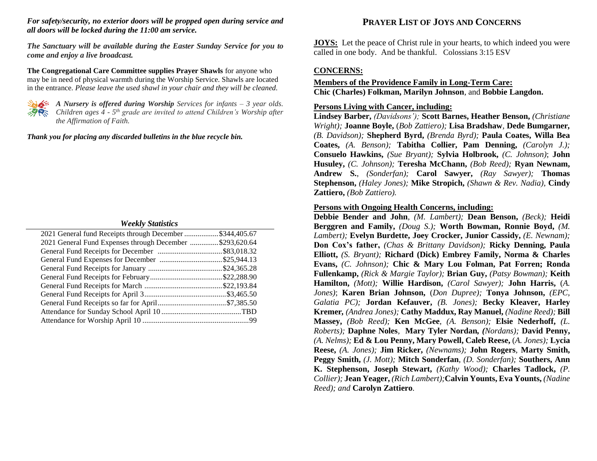### *For safety/security, no exterior doors will be propped open during service and all doors will be locked during the 11:00 am service.*

*The Sanctuary will be available during the Easter Sunday Service for you to come and enjoy a live broadcast.*

**The Congregational Care Committee supplies Prayer Shawls** for anyone who may be in need of physical warmth during the Worship Service. Shawls are located in the entrance. *Please leave the used shawl in your chair and they will be cleaned.*



*A Nursery is offered during Worship Services for infants – 3 year olds. Children ages 4 - 5 th grade are invited to attend Children's Worship after the Affirmation of Faith.*

*Thank you for placing any discarded bulletins in the blue recycle bin.*

### *Weekly Statistics*

| 2021 General fund Receipts through December \$344,405.67 |  |
|----------------------------------------------------------|--|
| 2021 General Fund Expenses through December \$293,620.64 |  |
|                                                          |  |
|                                                          |  |
|                                                          |  |
|                                                          |  |
|                                                          |  |
|                                                          |  |
|                                                          |  |
|                                                          |  |
|                                                          |  |
|                                                          |  |

## **PRAYER LIST OF JOYS AND CONCERNS**

**JOYS:** Let the peace of Christ rule in your hearts, to which indeed you were called in one body. And be thankful. Colossians 3:15 ESV

## **CONCERNS:**

## **Members of the Providence Family in Long-Term Care: Chic (Charles) Folkman, Marilyn Johnson**, and **Bobbie Langdon.**

## **Persons Living with Cancer, including:**

**Lindsey Barber,** *(Davidsons');* **Scott Barnes, Heather Benson,** *(Christiane Wright);* **Joanne Boyle,** (*Bob Zattiero);* **Lisa Bradshaw***,* **Dede Bumgarner***, (B. Davidson);* **Shepherd Byrd,** *(Brenda Byrd);* **Paula Coates, Willa Bea Coates,** *(A. Benson);* **Tabitha Collier, Pam Denning,** *(Carolyn J.);* **Consuelo Hawkins,** *(Sue Bryant);* **Sylvia Holbrook,** *(C. Johnson)*; **John Husuley,** *(C. Johnson);* **Teresha McChann,** *(Bob Reed);* **Ryan Newnam, Andrew S.**, *(Sonderfan);* **Carol Sawyer,** *(Ray Sawyer);* **Thomas Stephenson,** *(Haley Jones);* **Mike Stropich,** *(Shawn & Rev. Nadia),* **Cindy Zattiero,** *(Bob Zattiero).*

## **Persons with Ongoing Health Concerns, including:**

**Debbie Bender and John***, (M. Lambert);* **Dean Benson,** *(Beck);* **Heidi Berggren and Family,** *(Doug S.);* **Worth Bowman, Ronnie Boyd,** *(M. Lambert);* **Evelyn Burdette, Joey Crocker, Junior Cassidy,** *(E. Newnam);* **Don Cox's father,** *(Chas & Brittany Davidson);* **Ricky Denning, Paula Elliott,** *(S. Bryant);* **Richard (Dick) Embrey Family, Norma & Charles Evans,** *(C. Johnson);* **Chic & Mary Lou Folman, Pat Forren; Ronda Fullenkamp,** *(Rick & Margie Taylor);* **Brian Guy,** *(Patsy Bowman);* **Keith Hamilton,** *(Mott);* **Willie Hardison,** *(Carol Sawyer);* **John Harris,** (*A. Jones)*; **Karen Brian Johnson,** (*Don Dupree);* **Tonya Johnson,** *(EPC, Galatia PC);* **Jordan Kefauver,** *(B. Jones);* **Becky Kleaver, Harley Kremer***, (Andrea Jones);* **Cathy Maddux, Ray Manuel,** *(Nadine Reed);* **Bill Massey,** *(Bob Reed);* **Ken McGee***, (A. Benson);* **Elsie Nederhoff,** *(L. Roberts);* **Daphne Noles***,* **Mary Tyler Nordan***, (Nordans);* **David Penny,** *(A. Nelms);* **Ed & Lou Penny, Mary Powell, Caleb Reese,** (*A. Jones);* **Lycia Reese,** *(A. Jones);* **Jim Ricker,** *(Newnams);* **John Rogers***,* **Marty Smith, Peggy Smith,** *(J. Mott);* **Mitch Sonderfan***, (D. Sonderfan);* **Southers, Ann K. Stephenson, Joseph Stewart,** *(Kathy Wood);* **Charles Tadlock,** *(P. Collier);* **Jean Yeager,** *(Rich Lambert);***Calvin Younts, Eva Younts,** *(Nadine Reed); and* **Carolyn Zattiero***.*